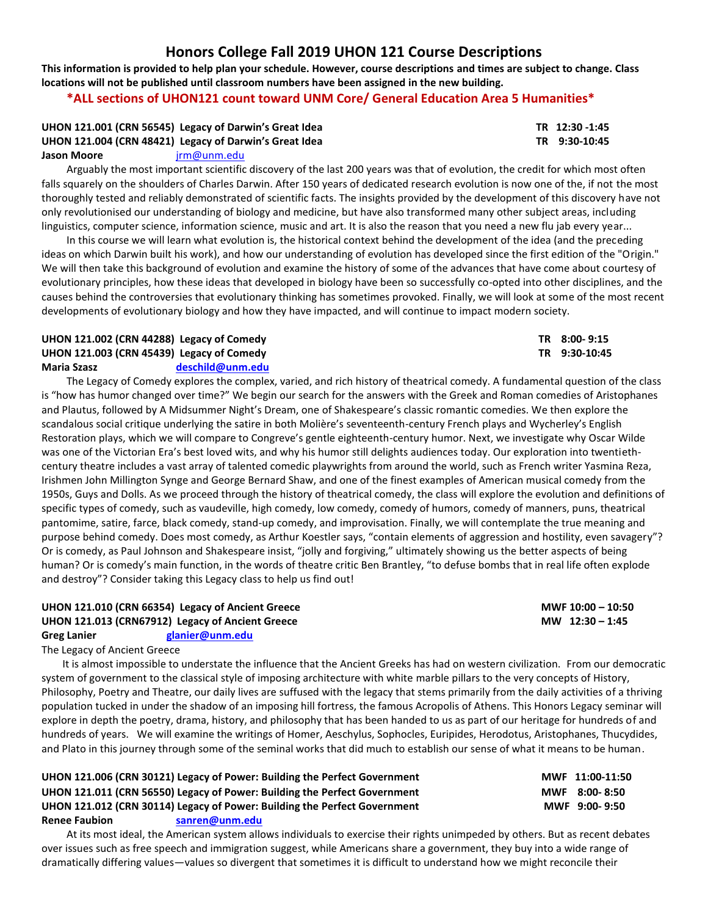# **Honors College Fall 2019 UHON 121 Course Descriptions**

**This information is provided to help plan your schedule. However, course descriptions and times are subject to change. Class locations will not be published until classroom numbers have been assigned in the new building.**

# **\*ALL sections of UHON121 count toward UNM Core/ General Education Area 5 Humanities\***

## **UHON 121.001 (CRN 56545) Legacy of Darwin's Great Idea TR 12:30 -1:45 UHON 121.004 (CRN 48421) Legacy of Darwin's Great Idea TR 9:30-10:45 Jason Moore** [jrm@unm.edu](mailto:jrm@unm.edu)

Arguably the most important scientific discovery of the last 200 years was that of evolution, the credit for which most often falls squarely on the shoulders of Charles Darwin. After 150 years of dedicated research evolution is now one of the, if not the most thoroughly tested and reliably demonstrated of scientific facts. The insights provided by the development of this discovery have not only revolutionised our understanding of biology and medicine, but have also transformed many other subject areas, including linguistics, computer science, information science, music and art. It is also the reason that you need a new flu jab every year...

In this course we will learn what evolution is, the historical context behind the development of the idea (and the preceding ideas on which Darwin built his work), and how our understanding of evolution has developed since the first edition of the "Origin." We will then take this background of evolution and examine the history of some of the advances that have come about courtesy of evolutionary principles, how these ideas that developed in biology have been so successfully co-opted into other disciplines, and the causes behind the controversies that evolutionary thinking has sometimes provoked. Finally, we will look at some of the most recent developments of evolutionary biology and how they have impacted, and will continue to impact modern society.

# **UHON 121.002 (CRN 44288) Legacy of Comedy TR 8:00- 9:15 UHON 121.003 (CRN 45439) Legacy of Comedy TR 9:30-10:45 Maria Szasz [deschild@unm.edu](mailto:deschild@unm.edu)**

The Legacy of Comedy explores the complex, varied, and rich history of theatrical comedy. A fundamental question of the class is "how has humor changed over time?" We begin our search for the answers with the Greek and Roman comedies of Aristophanes and Plautus, followed by A Midsummer Night's Dream, one of Shakespeare's classic romantic comedies. We then explore the scandalous social critique underlying the satire in both Molière's seventeenth-century French plays and Wycherley's English Restoration plays, which we will compare to Congreve's gentle eighteenth-century humor. Next, we investigate why Oscar Wilde was one of the Victorian Era's best loved wits, and why his humor still delights audiences today. Our exploration into twentiethcentury theatre includes a vast array of talented comedic playwrights from around the world, such as French writer Yasmina Reza, Irishmen John Millington Synge and George Bernard Shaw, and one of the finest examples of American musical comedy from the 1950s, Guys and Dolls. As we proceed through the history of theatrical comedy, the class will explore the evolution and definitions of specific types of comedy, such as vaudeville, high comedy, low comedy, comedy of humors, comedy of manners, puns, theatrical pantomime, satire, farce, black comedy, stand-up comedy, and improvisation. Finally, we will contemplate the true meaning and purpose behind comedy. Does most comedy, as Arthur Koestler says, "contain elements of aggression and hostility, even savagery"? Or is comedy, as Paul Johnson and Shakespeare insist, "jolly and forgiving," ultimately showing us the better aspects of being human? Or is comedy's main function, in the words of theatre critic Ben Brantley, "to defuse bombs that in real life often explode and destroy"? Consider taking this Legacy class to help us find out!

### **UHON 121.010 (CRN 66354) Legacy of Ancient Greece MWF 10:00 – 10:50 UHON 121.013 (CRN67912) Legacy of Ancient Greece MW 12:30 – 1:45 Greg Lanier [glanier@unm.edu](mailto:glanier@unm.edu)**

# The Legacy of Ancient Greece

It is almost impossible to understate the influence that the Ancient Greeks has had on western civilization. From our democratic system of government to the classical style of imposing architecture with white marble pillars to the very concepts of History, Philosophy, Poetry and Theatre, our daily lives are suffused with the legacy that stems primarily from the daily activities of a thriving population tucked in under the shadow of an imposing hill fortress, the famous Acropolis of Athens. This Honors Legacy seminar will explore in depth the poetry, drama, history, and philosophy that has been handed to us as part of our heritage for hundreds of and hundreds of years. We will examine the writings of Homer, Aeschylus, Sophocles, Euripides, Herodotus, Aristophanes, Thucydides, and Plato in this journey through some of the seminal works that did much to establish our sense of what it means to be human.

**UHON 121.006 (CRN 30121) Legacy of Power: Building the Perfect Government MWF 11:00-11:50 UHON 121.011 (CRN 56550) Legacy of Power: Building the Perfect Government MWF 8:00- 8:50 UHON 121.012 (CRN 30114) Legacy of Power: Building the Perfect Government MWF 9:00- 9:50 Renee Faubion [sanren@unm.edu](mailto:sanren@unm.edu)**

At its most ideal, the American system allows individuals to exercise their rights unimpeded by others. But as recent debates over issues such as free speech and immigration suggest, while Americans share a government, they buy into a wide range of dramatically differing values—values so divergent that sometimes it is difficult to understand how we might reconcile their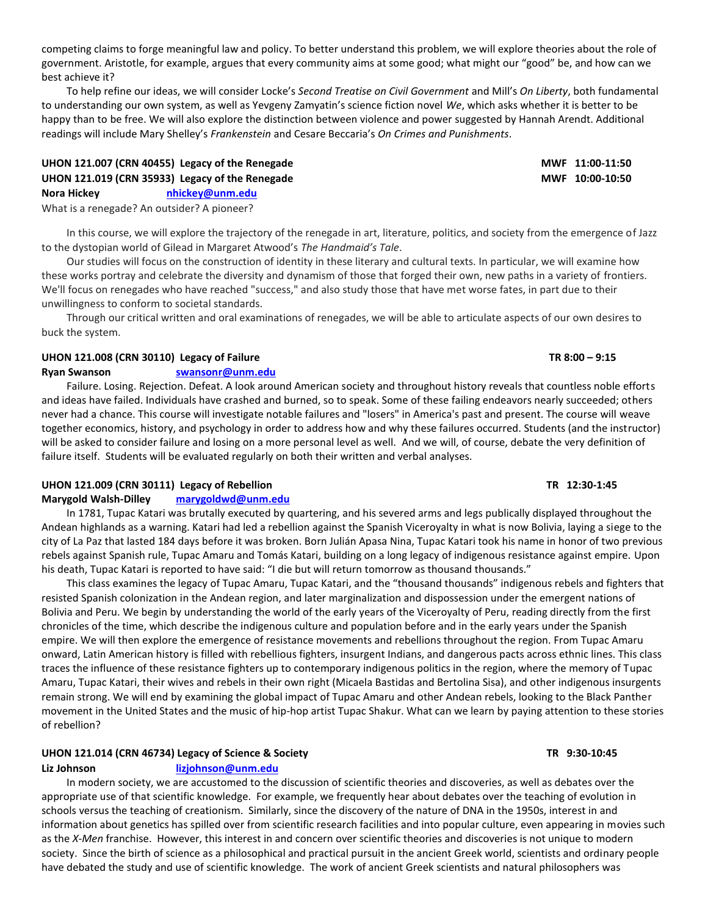competing claims to forge meaningful law and policy. To better understand this problem, we will explore theories about the role of government. Aristotle, for example, argues that every community aims at some good; what might our "good" be, and how can we best achieve it?

To help refine our ideas, we will consider Locke's *Second Treatise on Civil Government* and Mill's *On Liberty*, both fundamental to understanding our own system, as well as Yevgeny Zamyatin's science fiction novel *We*, which asks whether it is better to be happy than to be free. We will also explore the distinction between violence and power suggested by Hannah Arendt. Additional readings will include Mary Shelley's *Frankenstein* and Cesare Beccaria's *On Crimes and Punishments*.

# **UHON 121.007 (CRN 40455) Legacy of the Renegade MWF 11:00-11:50 UHON 121.019 (CRN 35933) Legacy of the Renegade MWF 10:00-10:50 Nora Hickey [nhickey@unm.edu](mailto:nhickey@unm.edu)**

What is a renegade? An outsider? A pioneer?

In this course, we will explore the trajectory of the renegade in art, literature, politics, and society from the emergence of Jazz to the dystopian world of Gilead in Margaret Atwood's *The Handmaid's Tale*.

Our studies will focus on the construction of identity in these literary and cultural texts. In particular, we will examine how these works portray and celebrate the diversity and dynamism of those that forged their own, new paths in a variety of frontiers. We'll focus on renegades who have reached "success," and also study those that have met worse fates, in part due to their unwillingness to conform to societal standards.

Through our critical written and oral examinations of renegades, we will be able to articulate aspects of our own desires to buck the system.

# **UHON 121.008 (CRN 30110) Legacy of Failure TR 8:00 – 9:15**

# **Ryan Swanson [swansonr@unm.edu](mailto:swansonr@unm.edu)**

Failure. Losing. Rejection. Defeat. A look around American society and throughout history reveals that countless noble efforts and ideas have failed. Individuals have crashed and burned, so to speak. Some of these failing endeavors nearly succeeded; others never had a chance. This course will investigate notable failures and "losers" in America's past and present. The course will weave together economics, history, and psychology in order to address how and why these failures occurred. Students (and the instructor) will be asked to consider failure and losing on a more personal level as well. And we will, of course, debate the very definition of failure itself. Students will be evaluated regularly on both their written and verbal analyses.

# **UHON 121.009 (CRN 30111) Legacy of Rebellion TR 12:30-1:45**

# **Marygold Walsh-Dilley [marygoldwd@unm.edu](mailto:marygoldwd@unm.edu)**

In 1781, Tupac Katari was brutally executed by quartering, and his severed arms and legs publically displayed throughout the Andean highlands as a warning. Katari had led a rebellion against the Spanish Viceroyalty in what is now Bolivia, laying a siege to the city of La Paz that lasted 184 days before it was broken. Born Julián Apasa Nina, Tupac Katari took his name in honor of two previous rebels against Spanish rule, Tupac Amaru and Tomás Katari, building on a long legacy of indigenous resistance against empire. Upon his death, Tupac Katari is reported to have said: "I die but will return tomorrow as thousand thousands."

This class examines the legacy of Tupac Amaru, Tupac Katari, and the "thousand thousands" indigenous rebels and fighters that resisted Spanish colonization in the Andean region, and later marginalization and dispossession under the emergent nations of Bolivia and Peru. We begin by understanding the world of the early years of the Viceroyalty of Peru, reading directly from the first chronicles of the time, which describe the indigenous culture and population before and in the early years under the Spanish empire. We will then explore the emergence of resistance movements and rebellions throughout the region. From Tupac Amaru onward, Latin American history is filled with rebellious fighters, insurgent Indians, and dangerous pacts across ethnic lines. This class traces the influence of these resistance fighters up to contemporary indigenous politics in the region, where the memory of Tupac Amaru, Tupac Katari, their wives and rebels in their own right (Micaela Bastidas and Bertolina Sisa), and other indigenous insurgents remain strong. We will end by examining the global impact of Tupac Amaru and other Andean rebels, looking to the Black Panther movement in the United States and the music of hip-hop artist Tupac Shakur. What can we learn by paying attention to these stories of rebellion?

# **UHON 121.014 (CRN 46734) Legacy of Science & Society TR 9:30-10:45**

# **Liz Johnson [lizjohnson@unm.edu](mailto:lizjohnson@unm.edu)**

In modern society, we are accustomed to the discussion of scientific theories and discoveries, as well as debates over the appropriate use of that scientific knowledge. For example, we frequently hear about debates over the teaching of evolution in schools versus the teaching of creationism. Similarly, since the discovery of the nature of DNA in the 1950s, interest in and information about genetics has spilled over from scientific research facilities and into popular culture, even appearing in movies such as the *X-Men* franchise. However, this interest in and concern over scientific theories and discoveries is not unique to modern society. Since the birth of science as a philosophical and practical pursuit in the ancient Greek world, scientists and ordinary people have debated the study and use of scientific knowledge. The work of ancient Greek scientists and natural philosophers was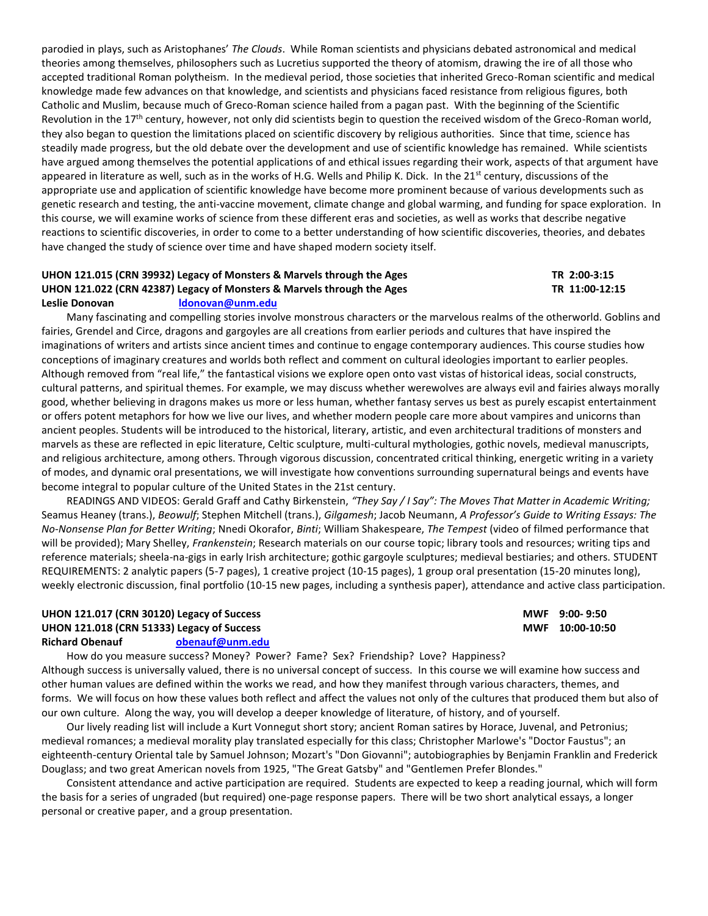parodied in plays, such as Aristophanes' *The Clouds*. While Roman scientists and physicians debated astronomical and medical theories among themselves, philosophers such as Lucretius supported the theory of atomism, drawing the ire of all those who accepted traditional Roman polytheism. In the medieval period, those societies that inherited Greco-Roman scientific and medical knowledge made few advances on that knowledge, and scientists and physicians faced resistance from religious figures, both Catholic and Muslim, because much of Greco-Roman science hailed from a pagan past. With the beginning of the Scientific Revolution in the 17<sup>th</sup> century, however, not only did scientists begin to question the received wisdom of the Greco-Roman world, they also began to question the limitations placed on scientific discovery by religious authorities. Since that time, science has steadily made progress, but the old debate over the development and use of scientific knowledge has remained. While scientists have argued among themselves the potential applications of and ethical issues regarding their work, aspects of that argument have appeared in literature as well, such as in the works of H.G. Wells and Philip K. Dick. In the 21<sup>st</sup> century, discussions of the appropriate use and application of scientific knowledge have become more prominent because of various developments such as genetic research and testing, the anti-vaccine movement, climate change and global warming, and funding for space exploration. In this course, we will examine works of science from these different eras and societies, as well as works that describe negative reactions to scientific discoveries, in order to come to a better understanding of how scientific discoveries, theories, and debates have changed the study of science over time and have shaped modern society itself.

# **UHON 121.015 (CRN 39932) Legacy of Monsters & Marvels through the Ages TR 2:00-3:15** UHON 121.022 (CRN 42387) Legacy of Monsters & Marvels through the Ages TR 11:00-12:15

#### **Leslie Donovan [ldonovan@unm.edu](mailto:ldonovan@unm.edu)**

Many fascinating and compelling stories involve monstrous characters or the marvelous realms of the otherworld. Goblins and fairies, Grendel and Circe, dragons and gargoyles are all creations from earlier periods and cultures that have inspired the imaginations of writers and artists since ancient times and continue to engage contemporary audiences. This course studies how conceptions of imaginary creatures and worlds both reflect and comment on cultural ideologies important to earlier peoples. Although removed from "real life," the fantastical visions we explore open onto vast vistas of historical ideas, social constructs, cultural patterns, and spiritual themes. For example, we may discuss whether werewolves are always evil and fairies always morally good, whether believing in dragons makes us more or less human, whether fantasy serves us best as purely escapist entertainment or offers potent metaphors for how we live our lives, and whether modern people care more about vampires and unicorns than ancient peoples. Students will be introduced to the historical, literary, artistic, and even architectural traditions of monsters and marvels as these are reflected in epic literature, Celtic sculpture, multi-cultural mythologies, gothic novels, medieval manuscripts, and religious architecture, among others. Through vigorous discussion, concentrated critical thinking, energetic writing in a variety of modes, and dynamic oral presentations, we will investigate how conventions surrounding supernatural beings and events have become integral to popular culture of the United States in the 21st century.

READINGS AND VIDEOS: Gerald Graff and Cathy Birkenstein, *"They Say / I Say": The Moves That Matter in Academic Writing;*  Seamus Heaney (trans.), *Beowulf*; Stephen Mitchell (trans.), *Gilgamesh*; Jacob Neumann, *A Professor's Guide to Writing Essays: The No-Nonsense Plan for Better Writing*; Nnedi Okorafor, *Binti*; William Shakespeare, *The Tempest* (video of filmed performance that will be provided); Mary Shelley, *Frankenstein*; Research materials on our course topic; library tools and resources; writing tips and reference materials; sheela-na-gigs in early Irish architecture; gothic gargoyle sculptures; medieval bestiaries; and others. STUDENT REQUIREMENTS: 2 analytic papers (5-7 pages), 1 creative project (10-15 pages), 1 group oral presentation (15-20 minutes long), weekly electronic discussion, final portfolio (10-15 new pages, including a synthesis paper), attendance and active class participation.

# **UHON 121.017 (CRN 30120) Legacy of Success MWF 9:00- 9:50 UHON 121.018 (CRN 51333) Legacy of Success MWF 10:00-10:50 Richard Obenauf [obenauf@unm.edu](mailto:obenauf@unm.edu)**

How do you measure success? Money? Power? Fame? Sex? Friendship? Love? Happiness? Although success is universally valued, there is no universal concept of success. In this course we will examine how success and other human values are defined within the works we read, and how they manifest through various characters, themes, and forms. We will focus on how these values both reflect and affect the values not only of the cultures that produced them but also of our own culture. Along the way, you will develop a deeper knowledge of literature, of history, and of yourself.

Our lively reading list will include a Kurt Vonnegut short story; ancient Roman satires by Horace, Juvenal, and Petronius; medieval romances; a medieval morality play translated especially for this class; Christopher Marlowe's "Doctor Faustus"; an eighteenth-century Oriental tale by Samuel Johnson; Mozart's "Don Giovanni"; autobiographies by Benjamin Franklin and Frederick Douglass; and two great American novels from 1925, "The Great Gatsby" and "Gentlemen Prefer Blondes."

Consistent attendance and active participation are required. Students are expected to keep a reading journal, which will form the basis for a series of ungraded (but required) one-page response papers. There will be two short analytical essays, a longer personal or creative paper, and a group presentation.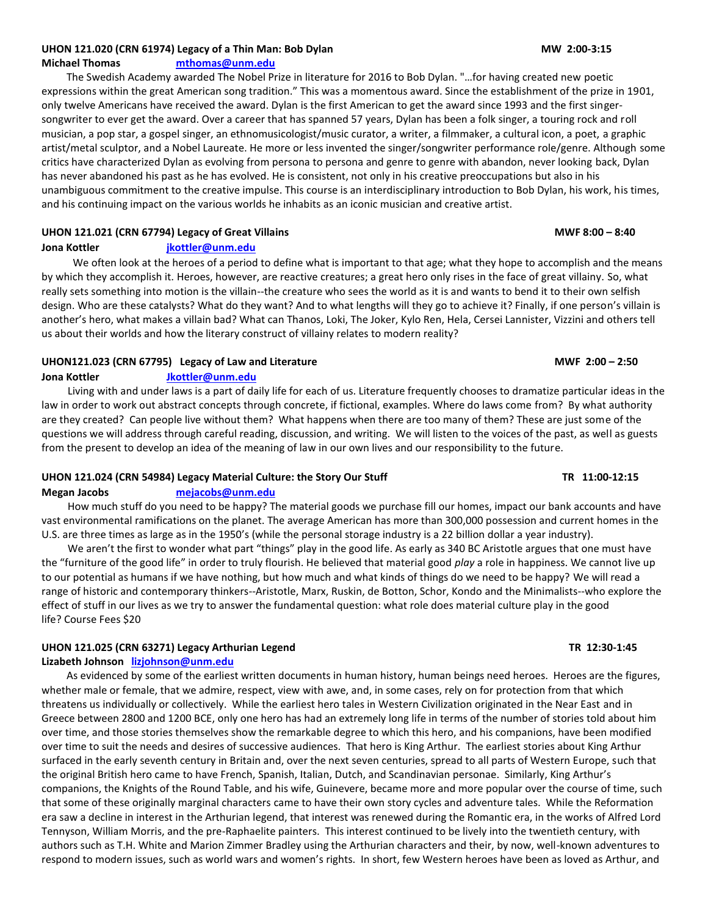# UHON 121.020 (CRN 61974) Legacy of a Thin Man: Bob Dylan MW 2:00-3:15

**Michael Thomas [mthomas@unm.edu](mailto:mthomas@unm.edu)**

The Swedish Academy awarded The Nobel Prize in literature for 2016 to Bob Dylan. "…for having created new poetic expressions within the great American song tradition." This was a momentous award. Since the establishment of the prize in 1901, only twelve Americans have received the award. Dylan is the first American to get the award since 1993 and the first singersongwriter to ever get the award. Over a career that has spanned 57 years, Dylan has been a folk singer, a touring rock and roll musician, a pop star, a gospel singer, an ethnomusicologist/music curator, a writer, a filmmaker, a cultural icon, a poet, a graphic artist/metal sculptor, and a Nobel Laureate. He more or less invented the singer/songwriter performance role/genre. Although some critics have characterized Dylan as evolving from persona to persona and genre to genre with abandon, never looking back, Dylan has never abandoned his past as he has evolved. He is consistent, not only in his creative preoccupations but also in his unambiguous commitment to the creative impulse. This course is an interdisciplinary introduction to Bob Dylan, his work, his times, and his continuing impact on the various worlds he inhabits as an iconic musician and creative artist.

# **UHON 121.021 (CRN 67794) Legacy of Great Villains MWF 8:00 – 8:40**

# **Jona Kottler [jkottler@unm.edu](mailto:jkottler@unm.edu)**

We often look at the heroes of a period to define what is important to that age; what they hope to accomplish and the means by which they accomplish it. Heroes, however, are reactive creatures; a great hero only rises in the face of great villainy. So, what really sets something into motion is the villain--the creature who sees the world as it is and wants to bend it to their own selfish design. Who are these catalysts? What do they want? And to what lengths will they go to achieve it? Finally, if one person's villain is another's hero, what makes a villain bad? What can Thanos, Loki, The Joker, Kylo Ren, Hela, Cersei Lannister, Vizzini and others tell us about their worlds and how the literary construct of villainy relates to modern reality?

# **UHON121.023 (CRN 67795) Legacy of Law and Literature MWF 2:00 – 2:50**

# **Jona Kottler [Jkottler@unm.edu](mailto:Jkottler@unm.edu)**

Living with and under laws is a part of daily life for each of us. Literature frequently chooses to dramatize particular ideas in the law in order to work out abstract concepts through concrete, if fictional, examples. Where do laws come from? By what authority are they created? Can people live without them? What happens when there are too many of them? These are just some of the questions we will address through careful reading, discussion, and writing. We will listen to the voices of the past, as well as guests from the present to develop an idea of the meaning of law in our own lives and our responsibility to the future.

# **UHON 121.024 (CRN 54984) Legacy Material Culture: the Story Our Stuff TR 11:00-12:15**

### **Megan Jacobs [mejacobs@unm.edu](mailto:mejacobs@unm.edu)**

How much stuff do you need to be happy? The material goods we purchase fill our homes, impact our bank accounts and have vast environmental ramifications on the planet. The average American has more than 300,000 possession and current homes in the U.S. are three times as large as in the 1950's (while the personal storage industry is a 22 billion dollar a year industry).

We aren't the first to wonder what part "things" play in the good life. As early as 340 BC Aristotle argues that one must have the "furniture of the good life" in order to truly flourish. He believed that material good *play* a role in happiness. We cannot live up to our potential as humans if we have nothing, but how much and what kinds of things do we need to be happy? We will read a range of historic and contemporary thinkers--Aristotle, Marx, Ruskin, de Botton, Schor, Kondo and the Minimalists--who explore the effect of stuff in our lives as we try to answer the fundamental question: what role does material culture play in the good life? Course Fees \$20

# **UHON 121.025 (CRN 63271) Legacy Arthurian Legend TR 12:30-1:45**

# **Lizabeth Johnson [lizjohnson@unm.edu](mailto:lizjohnson@unm.edu)**

As evidenced by some of the earliest written documents in human history, human beings need heroes. Heroes are the figures, whether male or female, that we admire, respect, view with awe, and, in some cases, rely on for protection from that which threatens us individually or collectively. While the earliest hero tales in Western Civilization originated in the Near East and in Greece between 2800 and 1200 BCE, only one hero has had an extremely long life in terms of the number of stories told about him over time, and those stories themselves show the remarkable degree to which this hero, and his companions, have been modified over time to suit the needs and desires of successive audiences. That hero is King Arthur. The earliest stories about King Arthur surfaced in the early seventh century in Britain and, over the next seven centuries, spread to all parts of Western Europe, such that the original British hero came to have French, Spanish, Italian, Dutch, and Scandinavian personae. Similarly, King Arthur's companions, the Knights of the Round Table, and his wife, Guinevere, became more and more popular over the course of time, such that some of these originally marginal characters came to have their own story cycles and adventure tales. While the Reformation era saw a decline in interest in the Arthurian legend, that interest was renewed during the Romantic era, in the works of Alfred Lord Tennyson, William Morris, and the pre-Raphaelite painters. This interest continued to be lively into the twentieth century, with authors such as T.H. White and Marion Zimmer Bradley using the Arthurian characters and their, by now, well-known adventures to respond to modern issues, such as world wars and women's rights. In short, few Western heroes have been as loved as Arthur, and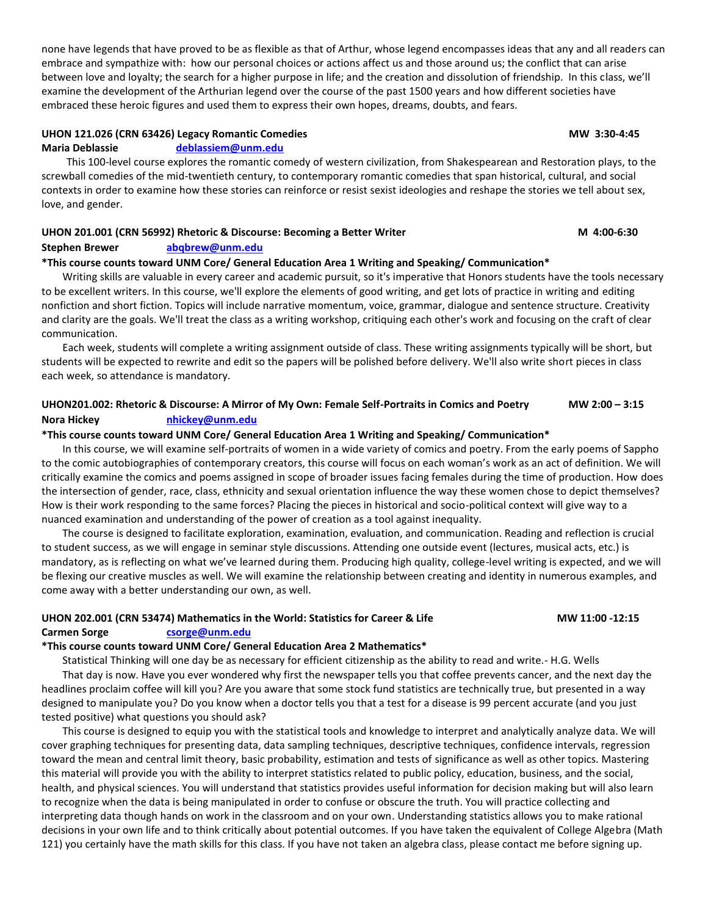none have legends that have proved to be as flexible as that of Arthur, whose legend encompasses ideas that any and all readers can embrace and sympathize with: how our personal choices or actions affect us and those around us; the conflict that can arise between love and loyalty; the search for a higher purpose in life; and the creation and dissolution of friendship. In this class, we'll examine the development of the Arthurian legend over the course of the past 1500 years and how different societies have embraced these heroic figures and used them to express their own hopes, dreams, doubts, and fears.

# **UHON 121.026 (CRN 63426) Legacy Romantic Comedies MW 3:30-4:45**

### **Maria Deblassie [deblassiem@unm.edu](mailto:deblassiem@unm.edu)**

This 100-level course explores the romantic comedy of western civilization, from Shakespearean and Restoration plays, to the screwball comedies of the mid-twentieth century, to contemporary romantic comedies that span historical, cultural, and social contexts in order to examine how these stories can reinforce or resist sexist ideologies and reshape the stories we tell about sex, love, and gender.

## UHON 201.001 (CRN 56992) Rhetoric & Discourse: Becoming a Better Writer **Manual Access 19th** 4:00-6:30

### **Stephen Brewer [abqbrew@unm.edu](mailto:abqbrew@unm.edu)**

### **\*This course counts toward UNM Core/ General Education Area 1 Writing and Speaking/ Communication\***

Writing skills are valuable in every career and academic pursuit, so it's imperative that Honors students have the tools necessary to be excellent writers. In this course, we'll explore the elements of good writing, and get lots of practice in writing and editing nonfiction and short fiction. Topics will include narrative momentum, voice, grammar, dialogue and sentence structure. Creativity and clarity are the goals. We'll treat the class as a writing workshop, critiquing each other's work and focusing on the craft of clear communication.

Each week, students will complete a writing assignment outside of class. These writing assignments typically will be short, but students will be expected to rewrite and edit so the papers will be polished before delivery. We'll also write short pieces in class each week, so attendance is mandatory.

# **UHON201.002: Rhetoric & Discourse: A Mirror of My Own: Female Self-Portraits in Comics and Poetry MW 2:00 – 3:15 Nora Hickey [nhickey@unm.edu](mailto:nhickey@unm.edu)**

### **\*This course counts toward UNM Core/ General Education Area 1 Writing and Speaking/ Communication\***

In this course, we will examine self-portraits of women in a wide variety of comics and poetry. From the early poems of Sappho to the comic autobiographies of contemporary creators, this course will focus on each woman's work as an act of definition. We will critically examine the comics and poems assigned in scope of broader issues facing females during the time of production. How does the intersection of gender, race, class, ethnicity and sexual orientation influence the way these women chose to depict themselves? How is their work responding to the same forces? Placing the pieces in historical and socio-political context will give way to a nuanced examination and understanding of the power of creation as a tool against inequality.

The course is designed to facilitate exploration, examination, evaluation, and communication. Reading and reflection is crucial to student success, as we will engage in seminar style discussions. Attending one outside event (lectures, musical acts, etc.) is mandatory, as is reflecting on what we've learned during them. Producing high quality, college-level writing is expected, and we will be flexing our creative muscles as well. We will examine the relationship between creating and identity in numerous examples, and come away with a better understanding our own, as well.

## **UHON 202.001 (CRN 53474) Mathematics in the World: Statistics for Career & Life MW 11:00 -12:15 Carmen Sorge [csorge@unm.edu](mailto:csorge@unm.edu)**

### **\*This course counts toward UNM Core/ General Education Area 2 Mathematics\***

Statistical Thinking will one day be as necessary for efficient citizenship as the ability to read and write.- H.G. Wells

That day is now. Have you ever wondered why first the newspaper tells you that coffee prevents cancer, and the next day the headlines proclaim coffee will kill you? Are you aware that some stock fund statistics are technically true, but presented in a way designed to manipulate you? Do you know when a doctor tells you that a test for a disease is 99 percent accurate (and you just tested positive) what questions you should ask?

This course is designed to equip you with the statistical tools and knowledge to interpret and analytically analyze data. We will cover graphing techniques for presenting data, data sampling techniques, descriptive techniques, confidence intervals, regression toward the mean and central limit theory, basic probability, estimation and tests of significance as well as other topics. Mastering this material will provide you with the ability to interpret statistics related to public policy, education, business, and the social, health, and physical sciences. You will understand that statistics provides useful information for decision making but will also learn to recognize when the data is being manipulated in order to confuse or obscure the truth. You will practice collecting and interpreting data though hands on work in the classroom and on your own. Understanding statistics allows you to make rational decisions in your own life and to think critically about potential outcomes. If you have taken the equivalent of College Algebra (Math 121) you certainly have the math skills for this class. If you have not taken an algebra class, please contact me before signing up.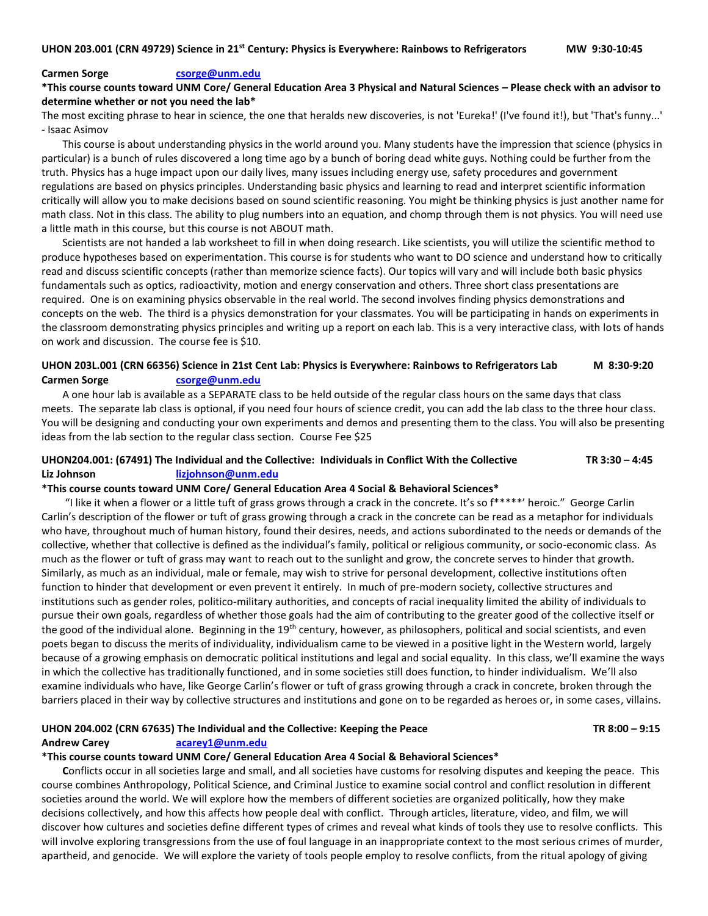#### **Carmen Sorge [csorge@unm.edu](mailto:csorge@unm.edu)**

**\*This course counts toward UNM Core/ General Education Area 3 Physical and Natural Sciences – Please check with an advisor to determine whether or not you need the lab\***

The most exciting phrase to hear in science, the one that heralds new discoveries, is not 'Eureka!' (I've found it!), but 'That's funny...' - Isaac Asimov

This course is about understanding physics in the world around you. Many students have the impression that science (physics in particular) is a bunch of rules discovered a long time ago by a bunch of boring dead white guys. Nothing could be further from the truth. Physics has a huge impact upon our daily lives, many issues including energy use, safety procedures and government regulations are based on physics principles. Understanding basic physics and learning to read and interpret scientific information critically will allow you to make decisions based on sound scientific reasoning. You might be thinking physics is just another name for math class. Not in this class. The ability to plug numbers into an equation, and chomp through them is not physics. You will need use a little math in this course, but this course is not ABOUT math.

Scientists are not handed a lab worksheet to fill in when doing research. Like scientists, you will utilize the scientific method to produce hypotheses based on experimentation. This course is for students who want to DO science and understand how to critically read and discuss scientific concepts (rather than memorize science facts). Our topics will vary and will include both basic physics fundamentals such as optics, radioactivity, motion and energy conservation and others. Three short class presentations are required. One is on examining physics observable in the real world. The second involves finding physics demonstrations and concepts on the web. The third is a physics demonstration for your classmates. You will be participating in hands on experiments in the classroom demonstrating physics principles and writing up a report on each lab. This is a very interactive class, with lots of hands on work and discussion. The course fee is \$10.

# **UHON 203L.001 (CRN 66356) Science in 21st Cent Lab: Physics is Everywhere: Rainbows to Refrigerators Lab M 8:30-9:20 Carmen Sorge [csorge@unm.edu](mailto:csorge@unm.edu)**

A one hour lab is available as a SEPARATE class to be held outside of the regular class hours on the same days that class meets. The separate lab class is optional, if you need four hours of science credit, you can add the lab class to the three hour class. You will be designing and conducting your own experiments and demos and presenting them to the class. You will also be presenting ideas from the lab section to the regular class section. Course Fee \$25

## **UHON204.001: (67491) The Individual and the Collective: Individuals in Conflict With the Collective TR 3:30 – 4:45 Liz Johnson [lizjohnson@unm.edu](mailto:lizjohnson@unm.edu)**

### **\*This course counts toward UNM Core/ General Education Area 4 Social & Behavioral Sciences\***

"I like it when a flower or a little tuft of grass grows through a crack in the concrete. It's so f\*\*\*\*\*' heroic." George Carlin Carlin's description of the flower or tuft of grass growing through a crack in the concrete can be read as a metaphor for individuals who have, throughout much of human history, found their desires, needs, and actions subordinated to the needs or demands of the collective, whether that collective is defined as the individual's family, political or religious community, or socio-economic class. As much as the flower or tuft of grass may want to reach out to the sunlight and grow, the concrete serves to hinder that growth. Similarly, as much as an individual, male or female, may wish to strive for personal development, collective institutions often function to hinder that development or even prevent it entirely. In much of pre-modern society, collective structures and institutions such as gender roles, politico-military authorities, and concepts of racial inequality limited the ability of individuals to pursue their own goals, regardless of whether those goals had the aim of contributing to the greater good of the collective itself or the good of the individual alone. Beginning in the 19<sup>th</sup> century, however, as philosophers, political and social scientists, and even poets began to discuss the merits of individuality, individualism came to be viewed in a positive light in the Western world, largely because of a growing emphasis on democratic political institutions and legal and social equality. In this class, we'll examine the ways in which the collective has traditionally functioned, and in some societies still does function, to hinder individualism. We'll also examine individuals who have, like George Carlin's flower or tuft of grass growing through a crack in concrete, broken through the barriers placed in their way by collective structures and institutions and gone on to be regarded as heroes or, in some cases, villains.

### **UHON 204.002 (CRN 67635) The Individual and the Collective: Keeping the Peace TR 8:00 – 9:15**

#### **Andrew Carey [acarey1@unm.edu](mailto:acarey1@unm.edu)**

### **\*This course counts toward UNM Core/ General Education Area 4 Social & Behavioral Sciences\***

**C**onflicts occur in all societies large and small, and all societies have customs for resolving disputes and keeping the peace. This course combines Anthropology, Political Science, and Criminal Justice to examine social control and conflict resolution in different societies around the world. We will explore how the members of different societies are organized politically, how they make decisions collectively, and how this affects how people deal with conflict. Through articles, literature, video, and film, we will discover how cultures and societies define different types of crimes and reveal what kinds of tools they use to resolve conflicts. This will involve exploring transgressions from the use of foul language in an inappropriate context to the most serious crimes of murder, apartheid, and genocide. We will explore the variety of tools people employ to resolve conflicts, from the ritual apology of giving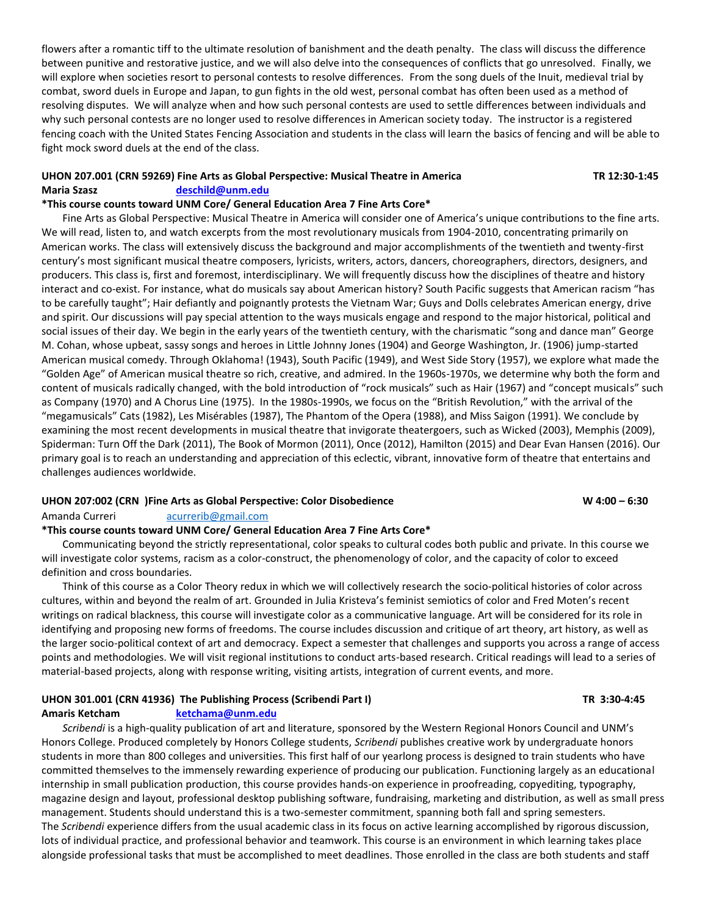flowers after a romantic tiff to the ultimate resolution of banishment and the death penalty. The class will discuss the difference between punitive and restorative justice, and we will also delve into the consequences of conflicts that go unresolved. Finally, we will explore when societies resort to personal contests to resolve differences. From the song duels of the Inuit, medieval trial by combat, sword duels in Europe and Japan, to gun fights in the old west, personal combat has often been used as a method of resolving disputes. We will analyze when and how such personal contests are used to settle differences between individuals and why such personal contests are no longer used to resolve differences in American society today. The instructor is a registered fencing coach with the United States Fencing Association and students in the class will learn the basics of fencing and will be able to fight mock sword duels at the end of the class.

### **UHON 207.001 (CRN 59269) Fine Arts as Global Perspective: Musical Theatre in America TR 12:30-1:45 Maria Szasz [deschild@unm.edu](mailto:deschild@unm.edu)**

# **\*This course counts toward UNM Core/ General Education Area 7 Fine Arts Core\***

Fine Arts as Global Perspective: Musical Theatre in America will consider one of America's unique contributions to the fine arts. We will read, listen to, and watch excerpts from the most revolutionary musicals from 1904-2010, concentrating primarily on American works. The class will extensively discuss the background and major accomplishments of the twentieth and twenty-first century's most significant musical theatre composers, lyricists, writers, actors, dancers, choreographers, directors, designers, and producers. This class is, first and foremost, interdisciplinary. We will frequently discuss how the disciplines of theatre and history interact and co-exist. For instance, what do musicals say about American history? South Pacific suggests that American racism "has to be carefully taught"; Hair defiantly and poignantly protests the Vietnam War; Guys and Dolls celebrates American energy, drive and spirit. Our discussions will pay special attention to the ways musicals engage and respond to the major historical, political and social issues of their day. We begin in the early years of the twentieth century, with the charismatic "song and dance man" George M. Cohan, whose upbeat, sassy songs and heroes in Little Johnny Jones (1904) and George Washington, Jr. (1906) jump-started American musical comedy. Through Oklahoma! (1943), South Pacific (1949), and West Side Story (1957), we explore what made the "Golden Age" of American musical theatre so rich, creative, and admired. In the 1960s-1970s, we determine why both the form and content of musicals radically changed, with the bold introduction of "rock musicals" such as Hair (1967) and "concept musicals" such as Company (1970) and A Chorus Line (1975). In the 1980s-1990s, we focus on the "British Revolution," with the arrival of the "megamusicals" Cats (1982), Les Misérables (1987), The Phantom of the Opera (1988), and Miss Saigon (1991). We conclude by examining the most recent developments in musical theatre that invigorate theatergoers, such as Wicked (2003), Memphis (2009), Spiderman: Turn Off the Dark (2011), The Book of Mormon (2011), Once (2012), Hamilton (2015) and Dear Evan Hansen (2016). Our primary goal is to reach an understanding and appreciation of this eclectic, vibrant, innovative form of theatre that entertains and challenges audiences worldwide.

### **UHON 207:002 (CRN )Fine Arts as Global Perspective: Color Disobedience W 4:00 – 6:30**

Amanda Curreri [acurrerib@gmail.com](mailto:acurrerib@gmail.com)

# **\*This course counts toward UNM Core/ General Education Area 7 Fine Arts Core\***

Communicating beyond the strictly representational, color speaks to cultural codes both public and private. In this course we will investigate color systems, racism as a color-construct, the phenomenology of color, and the capacity of color to exceed definition and cross boundaries.

Think of this course as a Color Theory redux in which we will collectively research the socio-political histories of color across cultures, within and beyond the realm of art. Grounded in Julia Kristeva's feminist semiotics of color and Fred Moten's recent writings on radical blackness, this course will investigate color as a communicative language. Art will be considered for its role in identifying and proposing new forms of freedoms. The course includes discussion and critique of art theory, art history, as well as the larger socio-political context of art and democracy. Expect a semester that challenges and supports you across a range of access points and methodologies. We will visit regional institutions to conduct arts-based research. Critical readings will lead to a series of material-based projects, along with response writing, visiting artists, integration of current events, and more.

# **UHON 301.001 (CRN 41936) The Publishing Process (Scribendi Part I) TR 3:30-4:45**

### **Amaris Ketcham [ketchama@unm.edu](mailto:ketchama@unm.edu)**

*Scribendi* is a high-quality publication of art and literature, sponsored by the Western Regional Honors Council and UNM's Honors College. Produced completely by Honors College students, *Scribendi* publishes creative work by undergraduate honors students in more than 800 colleges and universities. This first half of our yearlong process is designed to train students who have committed themselves to the immensely rewarding experience of producing our publication. Functioning largely as an educational internship in small publication production, this course provides hands-on experience in proofreading, copyediting, typography, magazine design and layout, professional desktop publishing software, fundraising, marketing and distribution, as well as small press management. Students should understand this is a two-semester commitment, spanning both fall and spring semesters. The *Scribendi* experience differs from the usual academic class in its focus on active learning accomplished by rigorous discussion, lots of individual practice, and professional behavior and teamwork. This course is an environment in which learning takes place alongside professional tasks that must be accomplished to meet deadlines. Those enrolled in the class are both students and staff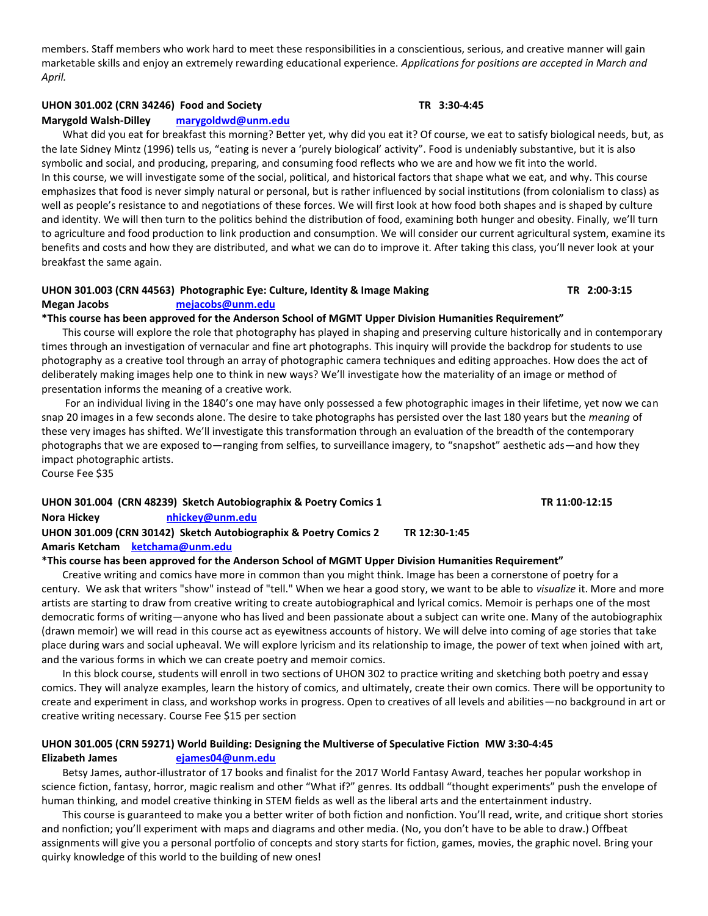members. Staff members who work hard to meet these responsibilities in a conscientious, serious, and creative manner will gain marketable skills and enjoy an extremely rewarding educational experience. *Applications for positions are accepted in March and April.*

## **UHON 301.002 (CRN 34246) Food and Society TR 3:30-4:45**

### **Marygold Walsh-Dilley [marygoldwd@unm.edu](mailto:marygoldwd@unm.edu)**

What did you eat for breakfast this morning? Better yet, why did you eat it? Of course, we eat to satisfy biological needs, but, as the late Sidney Mintz (1996) tells us, "eating is never a 'purely biological' activity". Food is undeniably substantive, but it is also symbolic and social, and producing, preparing, and consuming food reflects who we are and how we fit into the world. In this course, we will investigate some of the social, political, and historical factors that shape what we eat, and why. This course emphasizes that food is never simply natural or personal, but is rather influenced by social institutions (from colonialism to class) as well as people's resistance to and negotiations of these forces. We will first look at how food both shapes and is shaped by culture and identity. We will then turn to the politics behind the distribution of food, examining both hunger and obesity. Finally, we'll turn to agriculture and food production to link production and consumption. We will consider our current agricultural system, examine its benefits and costs and how they are distributed, and what we can do to improve it. After taking this class, you'll never look at your breakfast the same again.

# **UHON 301.003 (CRN 44563) Photographic Eye: Culture, Identity & Image Making TR 2:00-3:15 Megan Jacobs [mejacobs@unm.edu](mailto:mejacobs@unm.edu)**

### **\*This course has been approved for the Anderson School of MGMT Upper Division Humanities Requirement"**

This course will explore the role that photography has played in shaping and preserving culture historically and in contemporary times through an investigation of vernacular and fine art photographs. This inquiry will provide the backdrop for students to use photography as a creative tool through an array of photographic camera techniques and editing approaches. How does the act of deliberately making images help one to think in new ways? We'll investigate how the materiality of an image or method of presentation informs the meaning of a creative work.

For an individual living in the 1840's one may have only possessed a few photographic images in their lifetime, yet now we can snap 20 images in a few seconds alone. The desire to take photographs has persisted over the last 180 years but the *meaning* of these very images has shifted. We'll investigate this transformation through an evaluation of the breadth of the contemporary photographs that we are exposed to—ranging from selfies, to surveillance imagery, to "snapshot" aesthetic ads—and how they impact photographic artists.

Course Fee \$35

| Nora Hickey<br>nhickey@unm.edu                                                    |  |
|-----------------------------------------------------------------------------------|--|
| UHON 301.009 (CRN 30142) Sketch Autobiographix & Poetry Comics 2<br>TR 12:30-1:45 |  |
| Amaris Ketcham ketchama@unm.edu                                                   |  |

# **\*This course has been approved for the Anderson School of MGMT Upper Division Humanities Requirement"**

Creative writing and comics have more in common than you might think. Image has been a cornerstone of poetry for a century. We ask that writers "show" instead of "tell." When we hear a good story, we want to be able to *visualize* it. More and more artists are starting to draw from creative writing to create autobiographical and lyrical comics. Memoir is perhaps one of the most democratic forms of writing—anyone who has lived and been passionate about a subject can write one. Many of the autobiographix (drawn memoir) we will read in this course act as eyewitness accounts of history. We will delve into coming of age stories that take place during wars and social upheaval. We will explore lyricism and its relationship to image, the power of text when joined with art, and the various forms in which we can create poetry and memoir comics.

In this block course, students will enroll in two sections of UHON 302 to practice writing and sketching both poetry and essay comics. They will analyze examples, learn the history of comics, and ultimately, create their own comics. There will be opportunity to create and experiment in class, and workshop works in progress. Open to creatives of all levels and abilities—no background in art or creative writing necessary. Course Fee \$15 per section

# **UHON 301.005 (CRN 59271) World Building: Designing the Multiverse of Speculative Fiction MW 3:30-4:45 Elizabeth James [ejames04@unm.edu](mailto:ejames04@unm.edu)**

Betsy James, author-illustrator of 17 books and finalist for the 2017 World Fantasy Award, teaches her popular workshop in science fiction, fantasy, horror, magic realism and other "What if?" genres. Its oddball "thought experiments" push the envelope of human thinking, and model creative thinking in STEM fields as well as the liberal arts and the entertainment industry.

This course is guaranteed to make you a better writer of both fiction and nonfiction. You'll read, write, and critique short stories and nonfiction; you'll experiment with maps and diagrams and other media. (No, you don't have to be able to draw.) Offbeat assignments will give you a personal portfolio of concepts and story starts for fiction, games, movies, the graphic novel. Bring your quirky knowledge of this world to the building of new ones!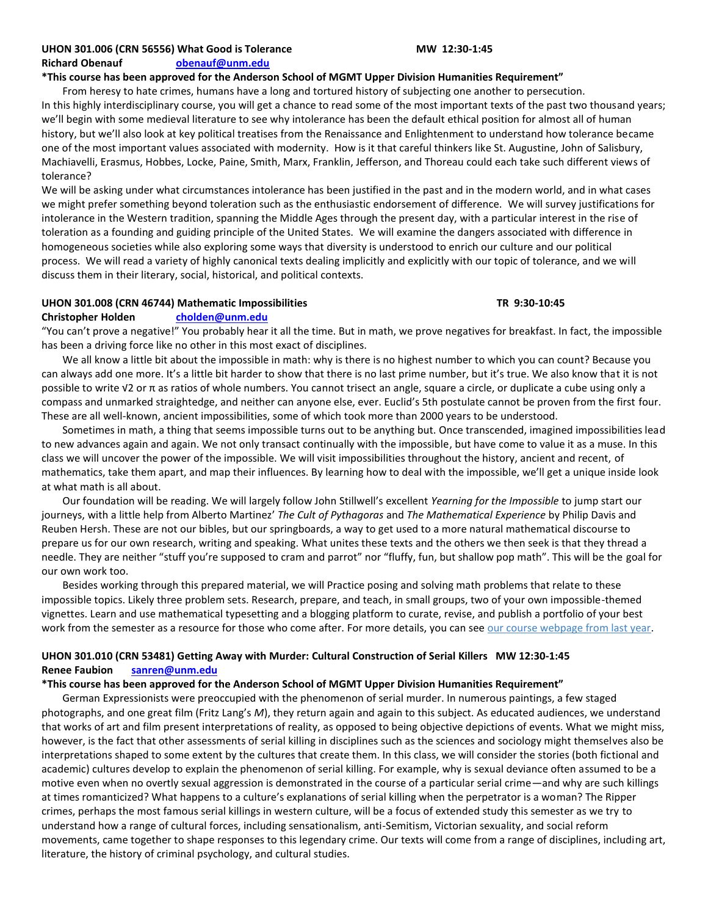### **UHON 301.006 (CRN 56556) What Good is Tolerance MW 12:30-1:45 Richard Obenauf [obenauf@unm.edu](mailto:obenauf@unm.edu)**

## **\*This course has been approved for the Anderson School of MGMT Upper Division Humanities Requirement"**

From heresy to hate crimes, humans have a long and tortured history of subjecting one another to persecution. In this highly interdisciplinary course, you will get a chance to read some of the most important texts of the past two thousand years; we'll begin with some medieval literature to see why intolerance has been the default ethical position for almost all of human history, but we'll also look at key political treatises from the Renaissance and Enlightenment to understand how tolerance became one of the most important values associated with modernity. How is it that careful thinkers like St. Augustine, John of Salisbury, Machiavelli, Erasmus, Hobbes, Locke, Paine, Smith, Marx, Franklin, Jefferson, and Thoreau could each take such different views of tolerance?

We will be asking under what circumstances intolerance has been justified in the past and in the modern world, and in what cases we might prefer something beyond toleration such as the enthusiastic endorsement of difference. We will survey justifications for intolerance in the Western tradition, spanning the Middle Ages through the present day, with a particular interest in the rise of toleration as a founding and guiding principle of the United States. We will examine the dangers associated with difference in homogeneous societies while also exploring some ways that diversity is understood to enrich our culture and our political process. We will read a variety of highly canonical texts dealing implicitly and explicitly with our topic of tolerance, and we will discuss them in their literary, social, historical, and political contexts.

### **UHON 301.008 (CRN 46744) Mathematic Impossibilities TR 9:30-10:45**

## **Christopher Holden [cholden@unm.edu](mailto:cholden@unm.edu)**

"You can't prove a negative!" You probably hear it all the time. But in math, we prove negatives for breakfast. In fact, the impossible has been a driving force like no other in this most exact of disciplines.

We all know a little bit about the impossible in math: why is there is no highest number to which you can count? Because you can always add one more. It's a little bit harder to show that there is no last prime number, but it's true. We also know that it is not possible to write √2 or π as ratios of whole numbers. You cannot trisect an angle, square a circle, or duplicate a cube using only a compass and unmarked straightedge, and neither can anyone else, ever. Euclid's 5th postulate cannot be proven from the first four. These are all well-known, ancient impossibilities, some of which took more than 2000 years to be understood.

Sometimes in math, a thing that seems impossible turns out to be anything but. Once transcended, imagined impossibilities lead to new advances again and again. We not only transact continually with the impossible, but have come to value it as a muse. In this class we will uncover the power of the impossible. We will visit impossibilities throughout the history, ancient and recent, of mathematics, take them apart, and map their influences. By learning how to deal with the impossible, we'll get a unique inside look at what math is all about.

Our foundation will be reading. We will largely follow John Stillwell's excellent *Yearning for the Impossible* to jump start our journeys, with a little help from Alberto Martinez' *The Cult of Pythagoras* and *The Mathematical Experience* by Philip Davis and Reuben Hersh. These are not our bibles, but our springboards, a way to get used to a more natural mathematical discourse to prepare us for our own research, writing and speaking. What unites these texts and the others we then seek is that they thread a needle. They are neither "stuff you're supposed to cram and parrot" nor "fluffy, fun, but shallow pop math". This will be the goal for our own work too.

Besides working through this prepared material, we will Practice posing and solving math problems that relate to these impossible topics. Likely three problem sets. Research, prepare, and teach, in small groups, two of your own impossible-themed vignettes. Learn and use mathematical typesetting and a blogging platform to curate, revise, and publish a portfolio of your best work from the semester as a resource for those who come after. For more details, you can see [our course webpage from last year.](https://mathematicalimpossibilities.localgameslab.org/2018/)

# **UHON 301.010 (CRN 53481) Getting Away with Murder: Cultural Construction of Serial Killers MW 12:30-1:45 Renee Faubion [sanren@unm.edu](mailto:sanren@unm.edu)**

# **\*This course has been approved for the Anderson School of MGMT Upper Division Humanities Requirement"**

German Expressionists were preoccupied with the phenomenon of serial murder. In numerous paintings, a few staged photographs, and one great film (Fritz Lang's *M*), they return again and again to this subject. As educated audiences, we understand that works of art and film present interpretations of reality, as opposed to being objective depictions of events. What we might miss, however, is the fact that other assessments of serial killing in disciplines such as the sciences and sociology might themselves also be interpretations shaped to some extent by the cultures that create them. In this class, we will consider the stories (both fictional and academic) cultures develop to explain the phenomenon of serial killing. For example, why is sexual deviance often assumed to be a motive even when no overtly sexual aggression is demonstrated in the course of a particular serial crime—and why are such killings at times romanticized? What happens to a culture's explanations of serial killing when the perpetrator is a woman? The Ripper crimes, perhaps the most famous serial killings in western culture, will be a focus of extended study this semester as we try to understand how a range of cultural forces, including sensationalism, anti-Semitism, Victorian sexuality, and social reform movements, came together to shape responses to this legendary crime. Our texts will come from a range of disciplines, including art, literature, the history of criminal psychology, and cultural studies.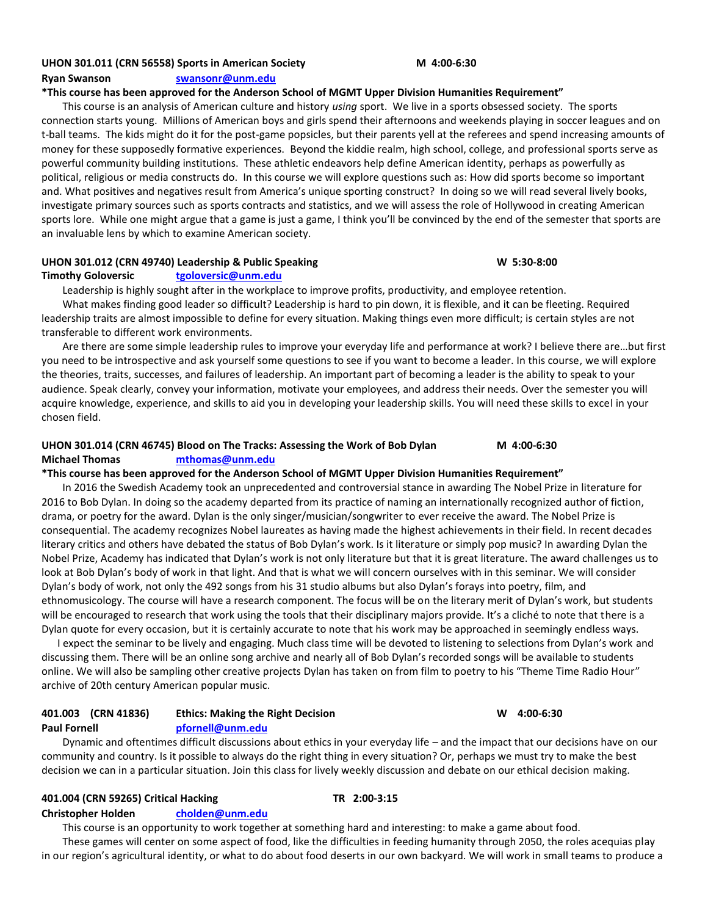### **UHON 301.011 (CRN 56558) Sports in American Society M 4:00-6:30**

**Ryan Swanson [swansonr@unm.edu](mailto:swansonr@unm.edu)**

#### **\*This course has been approved for the Anderson School of MGMT Upper Division Humanities Requirement"**

This course is an analysis of American culture and history *using* sport. We live in a sports obsessed society. The sports connection starts young. Millions of American boys and girls spend their afternoons and weekends playing in soccer leagues and on t-ball teams. The kids might do it for the post-game popsicles, but their parents yell at the referees and spend increasing amounts of money for these supposedly formative experiences. Beyond the kiddie realm, high school, college, and professional sports serve as powerful community building institutions. These athletic endeavors help define American identity, perhaps as powerfully as political, religious or media constructs do. In this course we will explore questions such as: How did sports become so important and. What positives and negatives result from America's unique sporting construct? In doing so we will read several lively books, investigate primary sources such as sports contracts and statistics, and we will assess the role of Hollywood in creating American sports lore. While one might argue that a game is just a game, I think you'll be convinced by the end of the semester that sports are an invaluable lens by which to examine American society.

#### **UHON 301.012 (CRN 49740) Leadership & Public Speaking W 5:30-8:00 Timothy Goloversic [tgoloversic@unm.edu](mailto:tgoloversic@unm.edu)**

Leadership is highly sought after in the workplace to improve profits, productivity, and employee retention.

What makes finding good leader so difficult? Leadership is hard to pin down, it is flexible, and it can be fleeting. Required leadership traits are almost impossible to define for every situation. Making things even more difficult; is certain styles are not transferable to different work environments.

Are there are some simple leadership rules to improve your everyday life and performance at work? I believe there are…but first you need to be introspective and ask yourself some questions to see if you want to become a leader. In this course, we will explore the theories, traits, successes, and failures of leadership. An important part of becoming a leader is the ability to speak to your audience. Speak clearly, convey your information, motivate your employees, and address their needs. Over the semester you will acquire knowledge, experience, and skills to aid you in developing your leadership skills. You will need these skills to excel in your chosen field.

# **UHON 301.014 (CRN 46745) Blood on The Tracks: Assessing the Work of Bob Dylan M 4:00-6:30 Michael Thomas [mthomas@unm.edu](mailto:mthomas@unm.edu)**

### **\*This course has been approved for the Anderson School of MGMT Upper Division Humanities Requirement"**

In 2016 the Swedish Academy took an unprecedented and controversial stance in awarding The Nobel Prize in literature for 2016 to Bob Dylan. In doing so the academy departed from its practice of naming an internationally recognized author of fiction, drama, or poetry for the award. Dylan is the only singer/musician/songwriter to ever receive the award. The Nobel Prize is consequential. The academy recognizes Nobel laureates as having made the highest achievements in their field. In recent decades literary critics and others have debated the status of Bob Dylan's work. Is it literature or simply pop music? In awarding Dylan the Nobel Prize, Academy has indicated that Dylan's work is not only literature but that it is great literature. The award challenges us to look at Bob Dylan's body of work in that light. And that is what we will concern ourselves with in this seminar. We will consider Dylan's body of work, not only the 492 songs from his 31 studio albums but also Dylan's forays into poetry, film, and ethnomusicology. The course will have a research component. The focus will be on the literary merit of Dylan's work, but students will be encouraged to research that work using the tools that their disciplinary majors provide. It's a cliché to note that there is a Dylan quote for every occasion, but it is certainly accurate to note that his work may be approached in seemingly endless ways.

I expect the seminar to be lively and engaging. Much class time will be devoted to listening to selections from Dylan's work and discussing them. There will be an online song archive and nearly all of Bob Dylan's recorded songs will be available to students online. We will also be sampling other creative projects Dylan has taken on from film to poetry to his "Theme Time Radio Hour" archive of 20th century American popular music.

# **401.003 (CRN 41836) Ethics: Making the Right Decision W 4:00-6:30 Paul Fornell [pfornell@unm.edu](mailto:pfornell@unm.edu)**

Dynamic and oftentimes difficult discussions about ethics in your everyday life – and the impact that our decisions have on our community and country. Is it possible to always do the right thing in every situation? Or, perhaps we must try to make the best decision we can in a particular situation. Join this class for lively weekly discussion and debate on our ethical decision making.

### **401.004 (CRN 59265) Critical Hacking TR 2:00-3:15**

# **Christopher Holden [cholden@unm.edu](mailto:cholden@unm.edu)**

This course is an opportunity to work together at something hard and interesting: to make a game about food. These games will center on some aspect of food, like the difficulties in feeding humanity through 2050, the roles acequias play in our region's agricultural identity, or what to do about food deserts in our own backyard. We will work in small teams to produce a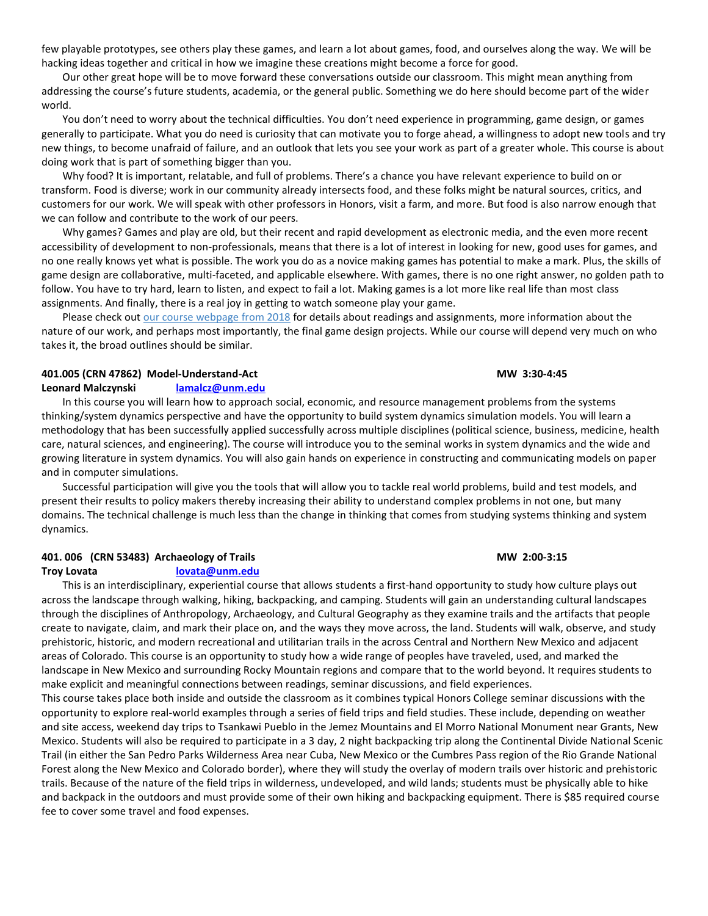few playable prototypes, see others play these games, and learn a lot about games, food, and ourselves along the way. We will be hacking ideas together and critical in how we imagine these creations might become a force for good.

Our other great hope will be to move forward these conversations outside our classroom. This might mean anything from addressing the course's future students, academia, or the general public. Something we do here should become part of the wider world.

You don't need to worry about the technical difficulties. You don't need experience in programming, game design, or games generally to participate. What you do need is curiosity that can motivate you to forge ahead, a willingness to adopt new tools and try new things, to become unafraid of failure, and an outlook that lets you see your work as part of a greater whole. This course is about doing work that is part of something bigger than you.

Why food? It is important, relatable, and full of problems. There's a chance you have relevant experience to build on or transform. Food is diverse; work in our community already intersects food, and these folks might be natural sources, critics, and customers for our work. We will speak with other professors in Honors, visit a farm, and more. But food is also narrow enough that we can follow and contribute to the work of our peers.

Why games? Games and play are old, but their recent and rapid development as electronic media, and the even more recent accessibility of development to non-professionals, means that there is a lot of interest in looking for new, good uses for games, and no one really knows yet what is possible. The work you do as a novice making games has potential to make a mark. Plus, the skills of game design are collaborative, multi-faceted, and applicable elsewhere. With games, there is no one right answer, no golden path to follow. You have to try hard, learn to listen, and expect to fail a lot. Making games is a lot more like real life than most class assignments. And finally, there is a real joy in getting to watch someone play your game.

Please check out [our course webpage from 2018](http://criticalhacking.localgameslab.org/2018/) for details about readings and assignments, more information about the nature of our work, and perhaps most importantly, the final game design projects. While our course will depend very much on who takes it, the broad outlines should be similar.

#### **401.005 (CRN 47862) Model-Understand-Act MW 3:30-4:45**

#### **Leonard Malczynski [lamalcz@unm.edu](mailto:lamalcz@unm.edu)**

In this course you will learn how to approach social, economic, and resource management problems from the systems thinking/system dynamics perspective and have the opportunity to build system dynamics simulation models. You will learn a methodology that has been successfully applied successfully across multiple disciplines (political science, business, medicine, health care, natural sciences, and engineering). The course will introduce you to the seminal works in system dynamics and the wide and growing literature in system dynamics. You will also gain hands on experience in constructing and communicating models on paper and in computer simulations.

Successful participation will give you the tools that will allow you to tackle real world problems, build and test models, and present their results to policy makers thereby increasing their ability to understand complex problems in not one, but many domains. The technical challenge is much less than the change in thinking that comes from studying systems thinking and system dynamics.

# **401. 006 (CRN 53483) Archaeology of Trails MW 2:00-3:15**

#### **Troy Lovata [lovata@unm.edu](mailto:lovata@unm.edu)**

This is an interdisciplinary, experiential course that allows students a first-hand opportunity to study how culture plays out across the landscape through walking, hiking, backpacking, and camping. Students will gain an understanding cultural landscapes through the disciplines of Anthropology, Archaeology, and Cultural Geography as they examine trails and the artifacts that people create to navigate, claim, and mark their place on, and the ways they move across, the land. Students will walk, observe, and study prehistoric, historic, and modern recreational and utilitarian trails in the across Central and Northern New Mexico and adjacent areas of Colorado. This course is an opportunity to study how a wide range of peoples have traveled, used, and marked the landscape in New Mexico and surrounding Rocky Mountain regions and compare that to the world beyond. It requires students to make explicit and meaningful connections between readings, seminar discussions, and field experiences.

This course takes place both inside and outside the classroom as it combines typical Honors College seminar discussions with the opportunity to explore real-world examples through a series of field trips and field studies. These include, depending on weather and site access, weekend day trips to Tsankawi Pueblo in the Jemez Mountains and El Morro National Monument near Grants, New Mexico. Students will also be required to participate in a 3 day, 2 night backpacking trip along the Continental Divide National Scenic Trail (in either the San Pedro Parks Wilderness Area near Cuba, New Mexico or the Cumbres Pass region of the Rio Grande National Forest along the New Mexico and Colorado border), where they will study the overlay of modern trails over historic and prehistoric trails. Because of the nature of the field trips in wilderness, undeveloped, and wild lands; students must be physically able to hike and backpack in the outdoors and must provide some of their own hiking and backpacking equipment. There is \$85 required course fee to cover some travel and food expenses.